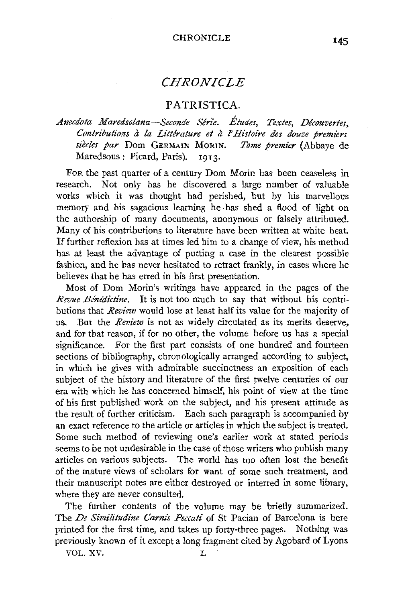# *CHRONICLE*

## PATRISTICA.

## *Anecdota Maredsolana-Seconde Serie. Etudes, Textes, Decouvertes,*  Contributions à la Littérature et à l'Histoire des douze premiers siècles par Dom GERMAIN MORIN. *Tome premier* (Abbaye de Maredsous: Picard, Paris). 1913.

FoR the past quarter of a century Dom Morin has been ceaseless in research. Not only has he discovered a large number of valuable works which it was thought had perished, but by his marvellous memory and his sagacious learning he .has shed a flood of light on the authorship of many documents, anonymous or falsely attributed. Many of his contributions to literature have been written at white heat. If further reflexion has at times led him to a change of view, his method has at least the advantage of putting a case in the clearest possible fashion, and he has never hesitated to retract frankly, in cases where he believes that he has erred in his first presentation.

Most of Dom Morin's writings have appeared in the pages of the *Revue Benedictine.* It is not too much to say that without his contributions that *Revzew* would lose at least half its value for the majority of us. But the *Review* is not as widely circulated as its merits deserve, and for that reason, if for no other, the volume before us has a special significance. For the first part consists of one hundred and fourteen sections of bibliography, chronologically arranged according to subject, in which he gives with admirable succinctness an exposition of each subject of the history and literature of the first twelve centuries of our era with which he has concerned himself, his point of view at the time of his first published work on the subject, and his present attitude as the result of further criticism. Each such paragraph is accompanied by an exact reference to the article or articles in which the subject is treated. Some such method of reviewing one's earlier work at stated periods seems to be not undesirable in the case of those writers who publish many articles on various subjects. The world has too often lost the benefit of the mature views of scholars for want of some such treatment, and their manuscript notes are either destroyed or interred in some library, where they are never consulted.

The further contents of the volume may be briefly summarized. The *De Similitudine Carnis Pecca#* of St Pacian of Barcelona is here printed for the first time, and takes up forty-three pages. Nothing was previously known of it except a long fragment cited by Agobard of Lyons

VOL. XV. L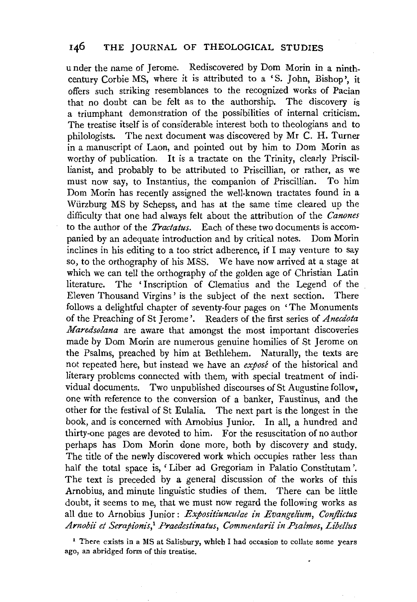u nder the name of Jerome. Rediscovered by Dom Morin in a ninthcentury Corbie MS, where it is attributed to a 'S. John, Bishop', it offers such striking resemblances to the recognized works of Pacian that no doubt can be felt as to the authorship. The discovery is a triumphant demonstration of the possibilities of internal criticism. The treatise itself is of considerable interest both to theologians and to philologists. The next document was discovered by Mr C. H. Turner in a manuscript of Laon, and pointed out by him to Dom Morin as worthy of publication. It is a tractate on the Trinity, clearly Priscillianist, and probably to be attributed to Priscillian, or rather, as we must now say, to Instantius, the companion of Priscillian. To him Dom Morin has recently assigned the well-known tractates found in a Wiirzburg MS by Schepss, and has at the same time cleared up the difficulty that one had always felt about the attribution of the *Canones*  to the author of the *Tractatus.* Each of these two documents is accompanied by an adequate introduction and by critical notes. Dom Morin inclines in his editing to a too strict adherence, if I may venture to say so, to the orthography of his MSS. We have now arrived at a stage at which we can tell the orthography of the golden age of Christian Latin literature. The 'Inscription of Clematius and the Legend of the Eleven Thousand Virgins ' is the subject of the next section. There follows a delightful chapter of seventy-four pages on 'The Monuments of the Preaching of St Jerome'. Readers of the first series of *Anecdota Maredsolana* are aware that amongst the most important discoveries made by Dom Morin are numerous genuine homilies of St Jerome on the Psalms, preached by him at Bethlehem. Naturally, the texts are not repeated here, but instead we have an *expose* of the historical and literary problems connected with them, with special treatment of individual documents. Two unpublished discourses of St Augustine follow, one with reference to the conversion of a banker, Faustinus, and the other for the festival of St Eulalia. The next part is the longest in the book, and is concerned with Arnobius Junior. In all, a hundred and thirty-one pages are devoted to him. For the resuscitation of no author perhaps has Dom Morin done more, both by discovery and study. The title of the newly discovered work which occupies rather less than half the total space is, 'Liber ad Gregoriam in Palatio Constitutam '. The text is preceded by a general discussion of the works of this Arnobius, and minute linguistic studies of them. There can be little doubt, it seems to me, that we must now regard the following works as all due to Arnobius Junior : *Expositiunculae in Evangelium, Conjlictus*  Arnobii et Serapionis,<sup>1</sup> Praedestinatus, Commentarii in Psalmos, Libellus

<sup>1</sup> There exists in a MS at Salisbury, which I had occasion to collate some years ago, an abridged form of this treatise.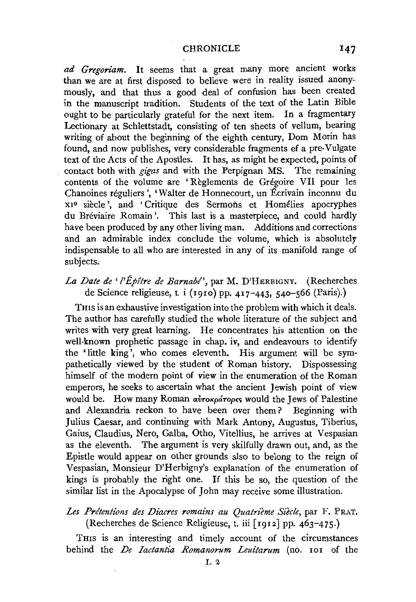*ad Gregoriam.* It seems that a great many more ancient works than we are at first disposed to believe were in reality issued anonymously, and that thus a good deal of confusion has been created in the manuscript tradition. Students of the text of the Latin Bible ought to be particularly grateful for the next item. In a fragmentary Lectionary at Schlettstadt, consisting of ten sheets of vellum, bearing writing of about the beginning of the eighth century, Dom Morin has found, and now publishes, very considerable fragments ef a pre-Vulgate text of the Acts of the Apostles. It has, as might be expected, points of contact both with *gi'gas* and with the Perpignan MS. The remaining contents of the volume are ' Reglements de Gregoire VII pour les Chanoines reguliers ', 'Waiter de Honnecourt, un Ecrivain inconnu du xxe siecle ', and 'Critique des Sermons et Homelies apocryphes du Breviaire Romain '. This last is a masterpiece, and could hardly have been produced by any other living man. Additions and corrections and an admirable index conclude the volume, which is absolutely indispensable to all who are interested in any of its manifold range of subjects.

*La Date de' l'Epftre de Barnabl',* par M. D'HERBIGNY. (Recherches de Science religieuse, t. i (rgro) pp. 417-443, 540-566 (Paris).)

THIS is an exhaustive investigation into the problem with which it deals. The author has carefully studied the whole literature of the subject and writes with very great learning. He concentrates his attention on the well-known prophetic passage in chap. iv, and endeavours to identify the 'little king', who comes eleventh. His argument will be sympathetically viewed by the student of Roman history. Dispossessing himself of the modern point of view in the enumeration of the Roman emperors, he seeks to ascertain what the ancient Jewish point of view would be. How many Roman  $\alpha\dot{\beta}\gamma\gamma\dot{\alpha}\gamma\gamma\dot{\beta}$  would the Jews of Palestine and Alexandria reckon to have been over them? Beginning with Julius Caesar, and continuing with Mark Antony, Augustus, Tiberius, Gaius, Claudius, Nero, Galba, Otho, Vitellius, he arrives at Vespasian as the eleventh. The argument is very skilfully drawn out, and, as the Epistle would appear on other grounds also to belong to the reign of Vespasian, Monsieur D'Herbigny's explanation of the enumeration of kings is probably the right one. If this be so, the question of the similar list in the Apocalypse of John may receive some illustration.

### Les Prétentions des Diacres romains au Quatrième Siècle, par F. PRAT. ( Recherches de Science Religieuse, t. iii ( 1912] pp. 46 3-4 7 5.)

THIS is an interesting and timely account of the circumstances behind the *De Iactantia Romanorum Leuitarum* (no. 101 of the